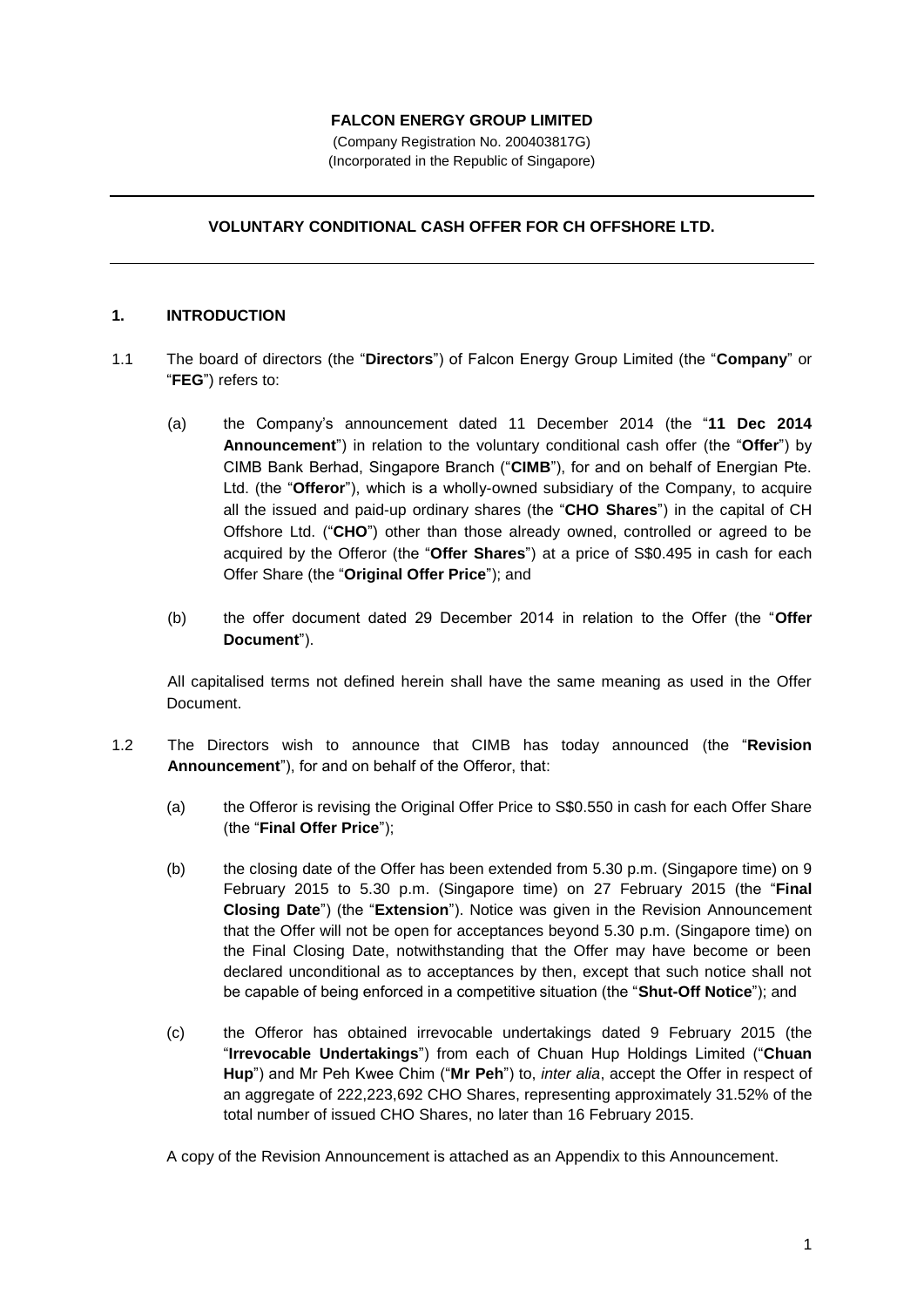## **FALCON ENERGY GROUP LIMITED**

(Company Registration No. 200403817G) (Incorporated in the Republic of Singapore)

# **VOLUNTARY CONDITIONAL CASH OFFER FOR CH OFFSHORE LTD.**

## **1. INTRODUCTION**

- 1.1 The board of directors (the "**Directors**") of Falcon Energy Group Limited (the "**Company**" or "**FEG**") refers to:
	- (a) the Company's announcement dated 11 December 2014 (the "**11 Dec 2014 Announcement**") in relation to the voluntary conditional cash offer (the "**Offer**") by CIMB Bank Berhad, Singapore Branch ("**CIMB**"), for and on behalf of Energian Pte. Ltd. (the "**Offeror**"), which is a wholly-owned subsidiary of the Company, to acquire all the issued and paid-up ordinary shares (the "**CHO Shares**") in the capital of CH Offshore Ltd. ("**CHO**") other than those already owned, controlled or agreed to be acquired by the Offeror (the "**Offer Shares**") at a price of S\$0.495 in cash for each Offer Share (the "**Original Offer Price**"); and
	- (b) the offer document dated 29 December 2014 in relation to the Offer (the "**Offer Document**").

All capitalised terms not defined herein shall have the same meaning as used in the Offer Document.

- 1.2 The Directors wish to announce that CIMB has today announced (the "**Revision Announcement**"), for and on behalf of the Offeror, that:
	- (a) the Offeror is revising the Original Offer Price to S\$0.550 in cash for each Offer Share (the "**Final Offer Price**");
	- (b) the closing date of the Offer has been extended from 5.30 p.m. (Singapore time) on 9 February 2015 to 5.30 p.m. (Singapore time) on 27 February 2015 (the "**Final Closing Date**") (the "**Extension**"). Notice was given in the Revision Announcement that the Offer will not be open for acceptances beyond 5.30 p.m. (Singapore time) on the Final Closing Date, notwithstanding that the Offer may have become or been declared unconditional as to acceptances by then, except that such notice shall not be capable of being enforced in a competitive situation (the "**Shut-Off Notice**"); and
	- (c) the Offeror has obtained irrevocable undertakings dated 9 February 2015 (the "**Irrevocable Undertakings**") from each of Chuan Hup Holdings Limited ("**Chuan Hup**") and Mr Peh Kwee Chim ("**Mr Peh**") to, *inter alia*, accept the Offer in respect of an aggregate of 222,223,692 CHO Shares, representing approximately 31.52% of the total number of issued CHO Shares, no later than 16 February 2015.

A copy of the Revision Announcement is attached as an Appendix to this Announcement.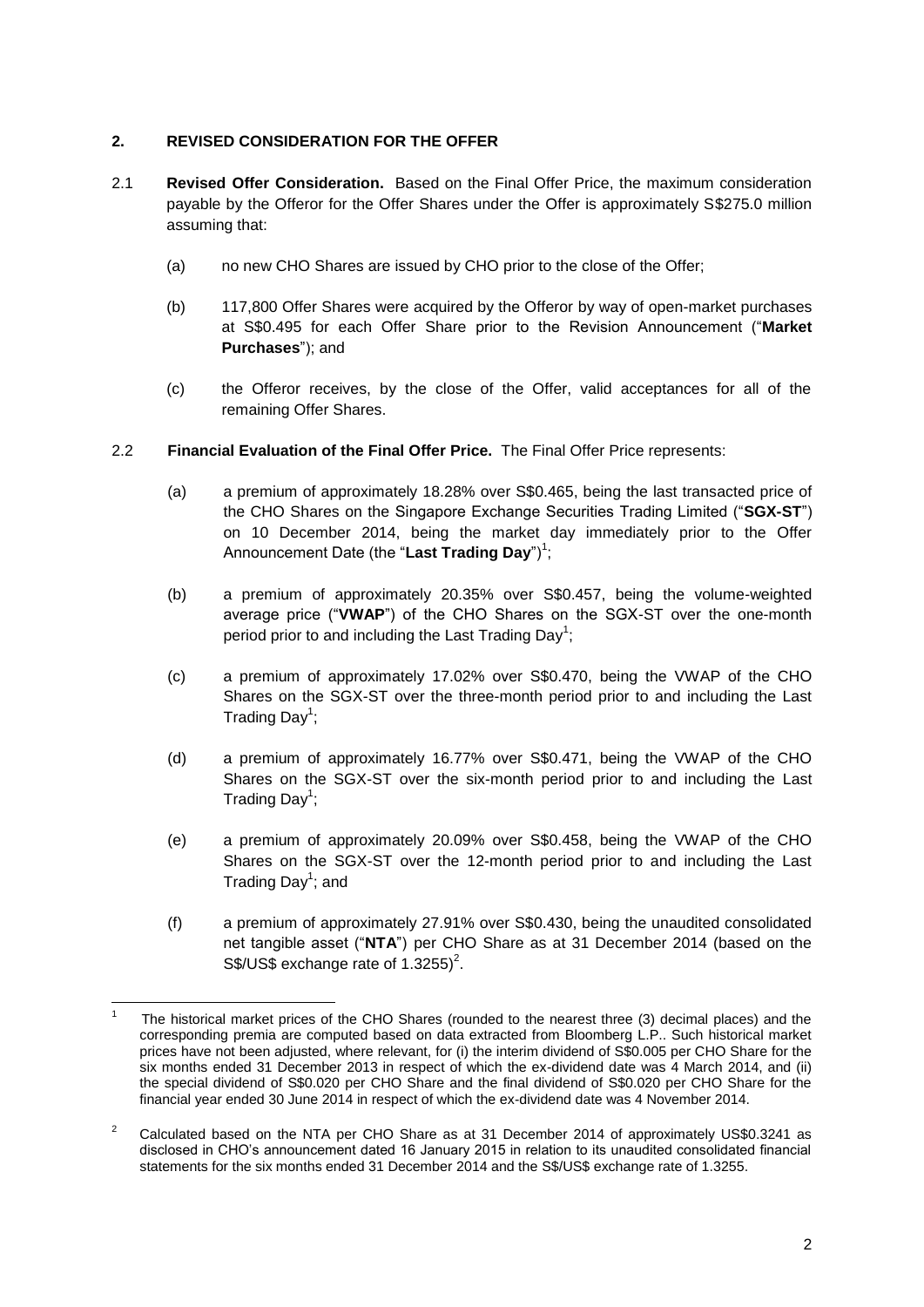# **2. REVISED CONSIDERATION FOR THE OFFER**

- 2.1 **Revised Offer Consideration.** Based on the Final Offer Price, the maximum consideration payable by the Offeror for the Offer Shares under the Offer is approximately S\$275.0 million assuming that:
	- (a) no new CHO Shares are issued by CHO prior to the close of the Offer;
	- (b) 117,800 Offer Shares were acquired by the Offeror by way of open-market purchases at S\$0.495 for each Offer Share prior to the Revision Announcement ("**Market Purchases**"); and
	- (c) the Offeror receives, by the close of the Offer, valid acceptances for all of the remaining Offer Shares.
- 2.2 **Financial Evaluation of the Final Offer Price.** The Final Offer Price represents:
	- (a) a premium of approximately 18.28% over S\$0.465, being the last transacted price of the CHO Shares on the Singapore Exchange Securities Trading Limited ("**SGX-ST**") on 10 December 2014, being the market day immediately prior to the Offer Announcement Date (the "**Last Trading Day**")<sup>1</sup>;
	- (b) a premium of approximately 20.35% over S\$0.457, being the volume-weighted average price ("**VWAP**") of the CHO Shares on the SGX-ST over the one-month period prior to and including the Last Trading Day<sup>1</sup>;
	- (c) a premium of approximately 17.02% over S\$0.470, being the VWAP of the CHO Shares on the SGX-ST over the three-month period prior to and including the Last Trading Day<sup>1</sup>;
	- (d) a premium of approximately 16.77% over S\$0.471, being the VWAP of the CHO Shares on the SGX-ST over the six-month period prior to and including the Last Trading Day<sup>1</sup>;
	- (e) a premium of approximately 20.09% over S\$0.458, being the VWAP of the CHO Shares on the SGX-ST over the 12-month period prior to and including the Last Trading Day<sup>1</sup>; and
	- (f) a premium of approximately 27.91% over S\$0.430, being the unaudited consolidated net tangible asset ("**NTA**") per CHO Share as at 31 December 2014 (based on the S\$/US\$ exchange rate of  $1.3255$ <sup>2</sup>.

 $\overline{\phantom{a}}$ 1 The historical market prices of the CHO Shares (rounded to the nearest three (3) decimal places) and the corresponding premia are computed based on data extracted from Bloomberg L.P.. Such historical market prices have not been adjusted, where relevant, for (i) the interim dividend of S\$0.005 per CHO Share for the six months ended 31 December 2013 in respect of which the ex-dividend date was 4 March 2014, and (ii) the special dividend of S\$0.020 per CHO Share and the final dividend of S\$0.020 per CHO Share for the financial year ended 30 June 2014 in respect of which the ex-dividend date was 4 November 2014.

<sup>&</sup>lt;sup>2</sup> Calculated based on the NTA per CHO Share as at 31 December 2014 of approximately US\$0.3241 as disclosed in CHO's announcement dated 16 January 2015 in relation to its unaudited consolidated financial statements for the six months ended 31 December 2014 and the S\$/US\$ exchange rate of 1.3255.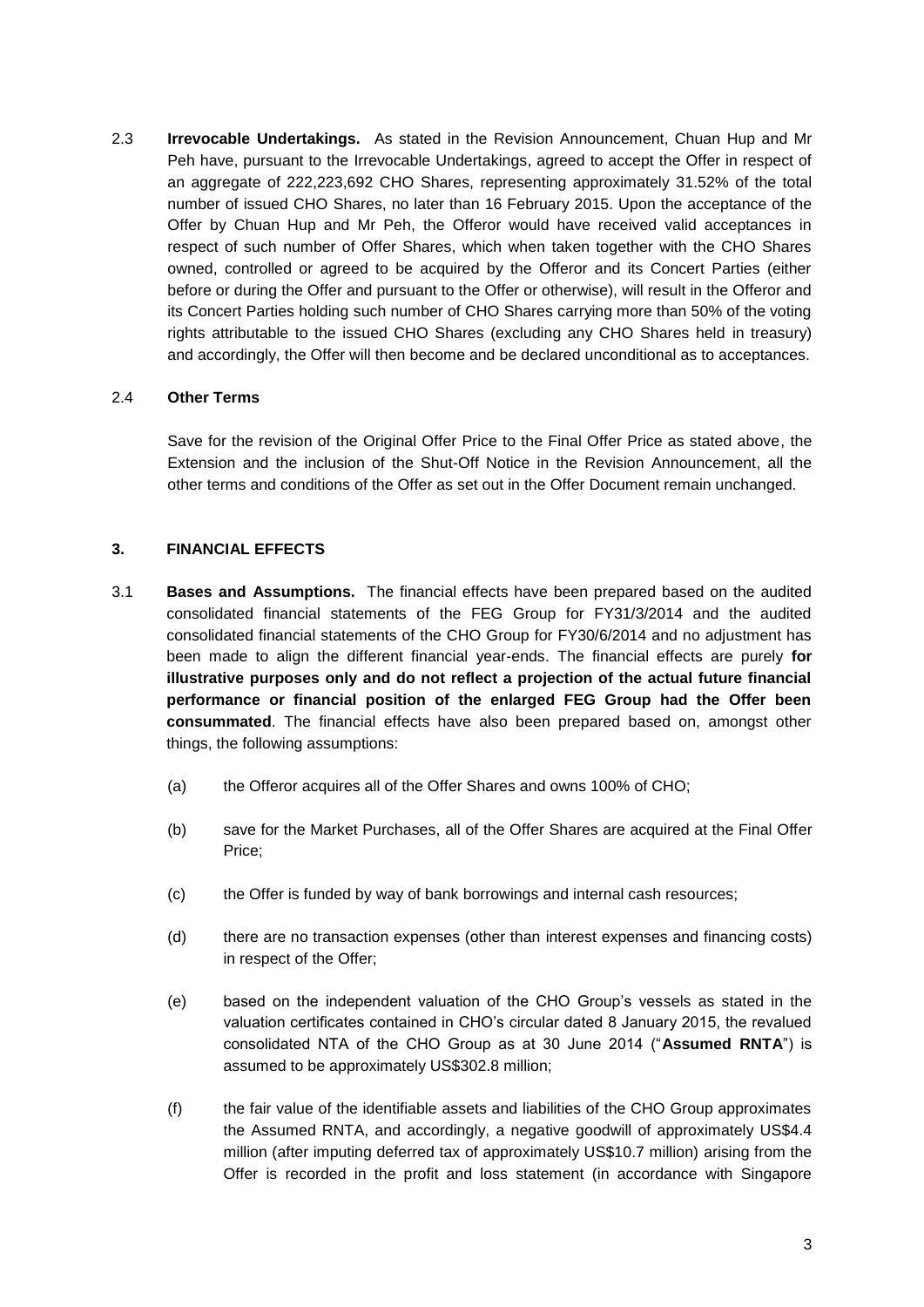2.3 **Irrevocable Undertakings.** As stated in the Revision Announcement, Chuan Hup and Mr Peh have, pursuant to the Irrevocable Undertakings, agreed to accept the Offer in respect of an aggregate of 222,223,692 CHO Shares, representing approximately 31.52% of the total number of issued CHO Shares, no later than 16 February 2015. Upon the acceptance of the Offer by Chuan Hup and Mr Peh, the Offeror would have received valid acceptances in respect of such number of Offer Shares, which when taken together with the CHO Shares owned, controlled or agreed to be acquired by the Offeror and its Concert Parties (either before or during the Offer and pursuant to the Offer or otherwise), will result in the Offeror and its Concert Parties holding such number of CHO Shares carrying more than 50% of the voting rights attributable to the issued CHO Shares (excluding any CHO Shares held in treasury) and accordingly, the Offer will then become and be declared unconditional as to acceptances.

## 2.4 **Other Terms**

Save for the revision of the Original Offer Price to the Final Offer Price as stated above, the Extension and the inclusion of the Shut-Off Notice in the Revision Announcement, all the other terms and conditions of the Offer as set out in the Offer Document remain unchanged.

## **3. FINANCIAL EFFECTS**

- 3.1 **Bases and Assumptions.** The financial effects have been prepared based on the audited consolidated financial statements of the FEG Group for FY31/3/2014 and the audited consolidated financial statements of the CHO Group for FY30/6/2014 and no adjustment has been made to align the different financial year-ends. The financial effects are purely **for illustrative purposes only and do not reflect a projection of the actual future financial performance or financial position of the enlarged FEG Group had the Offer been consummated**. The financial effects have also been prepared based on, amongst other things, the following assumptions:
	- (a) the Offeror acquires all of the Offer Shares and owns 100% of CHO;
	- (b) save for the Market Purchases, all of the Offer Shares are acquired at the Final Offer Price;
	- (c) the Offer is funded by way of bank borrowings and internal cash resources;
	- (d) there are no transaction expenses (other than interest expenses and financing costs) in respect of the Offer;
	- (e) based on the independent valuation of the CHO Group's vessels as stated in the valuation certificates contained in CHO's circular dated 8 January 2015, the revalued consolidated NTA of the CHO Group as at 30 June 2014 ("**Assumed RNTA**") is assumed to be approximately US\$302.8 million;
	- (f) the fair value of the identifiable assets and liabilities of the CHO Group approximates the Assumed RNTA, and accordingly, a negative goodwill of approximately US\$4.4 million (after imputing deferred tax of approximately US\$10.7 million) arising from the Offer is recorded in the profit and loss statement (in accordance with Singapore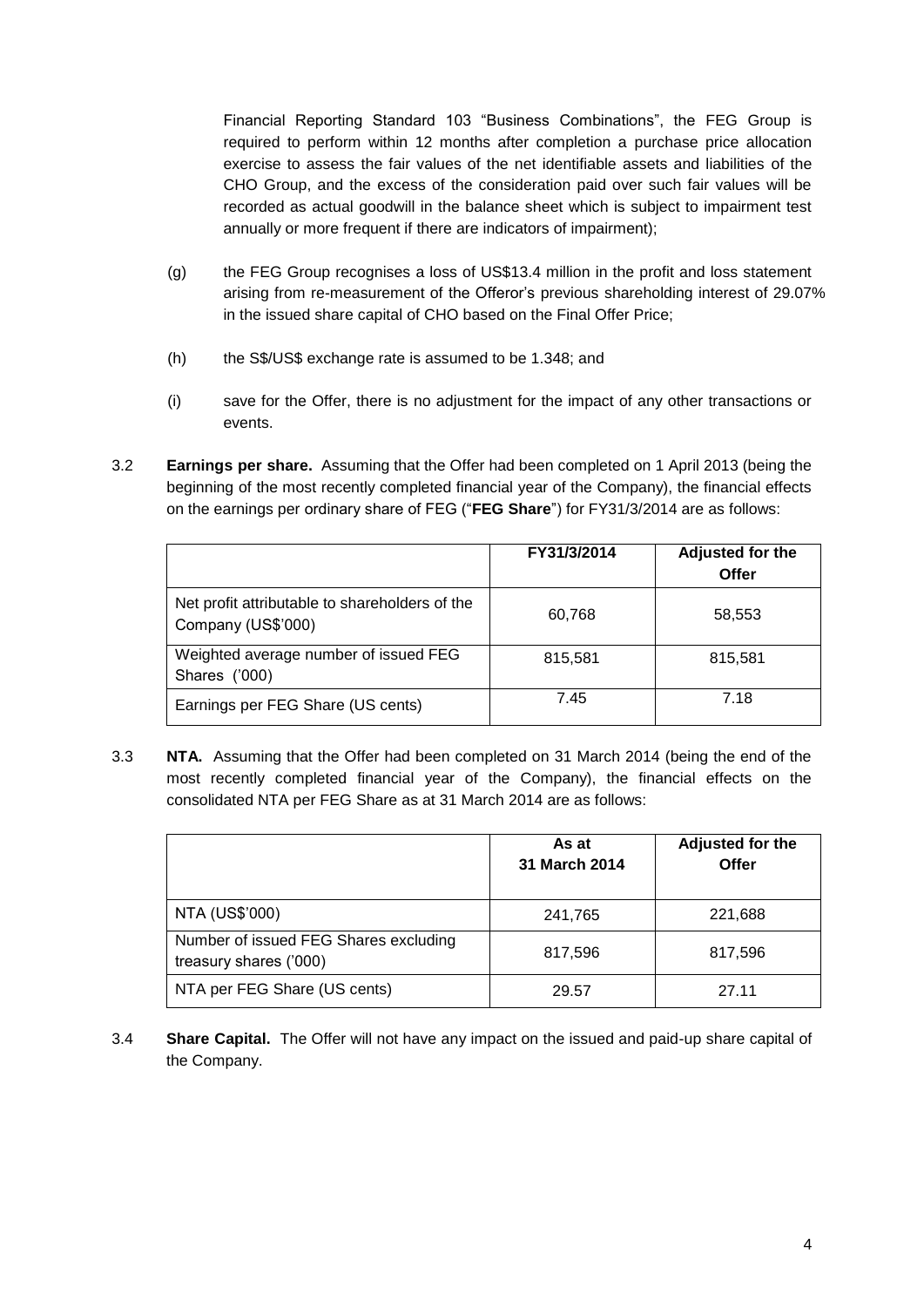Financial Reporting Standard 103 "Business Combinations", the FEG Group is required to perform within 12 months after completion a purchase price allocation exercise to assess the fair values of the net identifiable assets and liabilities of the CHO Group, and the excess of the consideration paid over such fair values will be recorded as actual goodwill in the balance sheet which is subject to impairment test annually or more frequent if there are indicators of impairment);

- (g) the FEG Group recognises a loss of US\$13.4 million in the profit and loss statement arising from re-measurement of the Offeror's previous shareholding interest of 29.07% in the issued share capital of CHO based on the Final Offer Price;
- (h) the S\$/US\$ exchange rate is assumed to be 1.348; and
- (i) save for the Offer, there is no adjustment for the impact of any other transactions or events.
- 3.2 **Earnings per share.** Assuming that the Offer had been completed on 1 April 2013 (being the beginning of the most recently completed financial year of the Company), the financial effects on the earnings per ordinary share of FEG ("**FEG Share**") for FY31/3/2014 are as follows:

|                                                                      | FY31/3/2014 | Adjusted for the<br>Offer |
|----------------------------------------------------------------------|-------------|---------------------------|
| Net profit attributable to shareholders of the<br>Company (US\$'000) | 60,768      | 58,553                    |
| Weighted average number of issued FEG<br>Shares ('000)               | 815,581     | 815,581                   |
| Earnings per FEG Share (US cents)                                    | 7.45        | 7.18                      |

3.3 **NTA.** Assuming that the Offer had been completed on 31 March 2014 (being the end of the most recently completed financial year of the Company), the financial effects on the consolidated NTA per FEG Share as at 31 March 2014 are as follows:

|                                                                 | As at<br>31 March 2014 | Adjusted for the<br>Offer |
|-----------------------------------------------------------------|------------------------|---------------------------|
| NTA (US\$'000)                                                  | 241,765                | 221,688                   |
| Number of issued FEG Shares excluding<br>treasury shares ('000) | 817,596                | 817,596                   |
| NTA per FEG Share (US cents)                                    | 29.57                  | 27.11                     |

3.4 **Share Capital.** The Offer will not have any impact on the issued and paid-up share capital of the Company.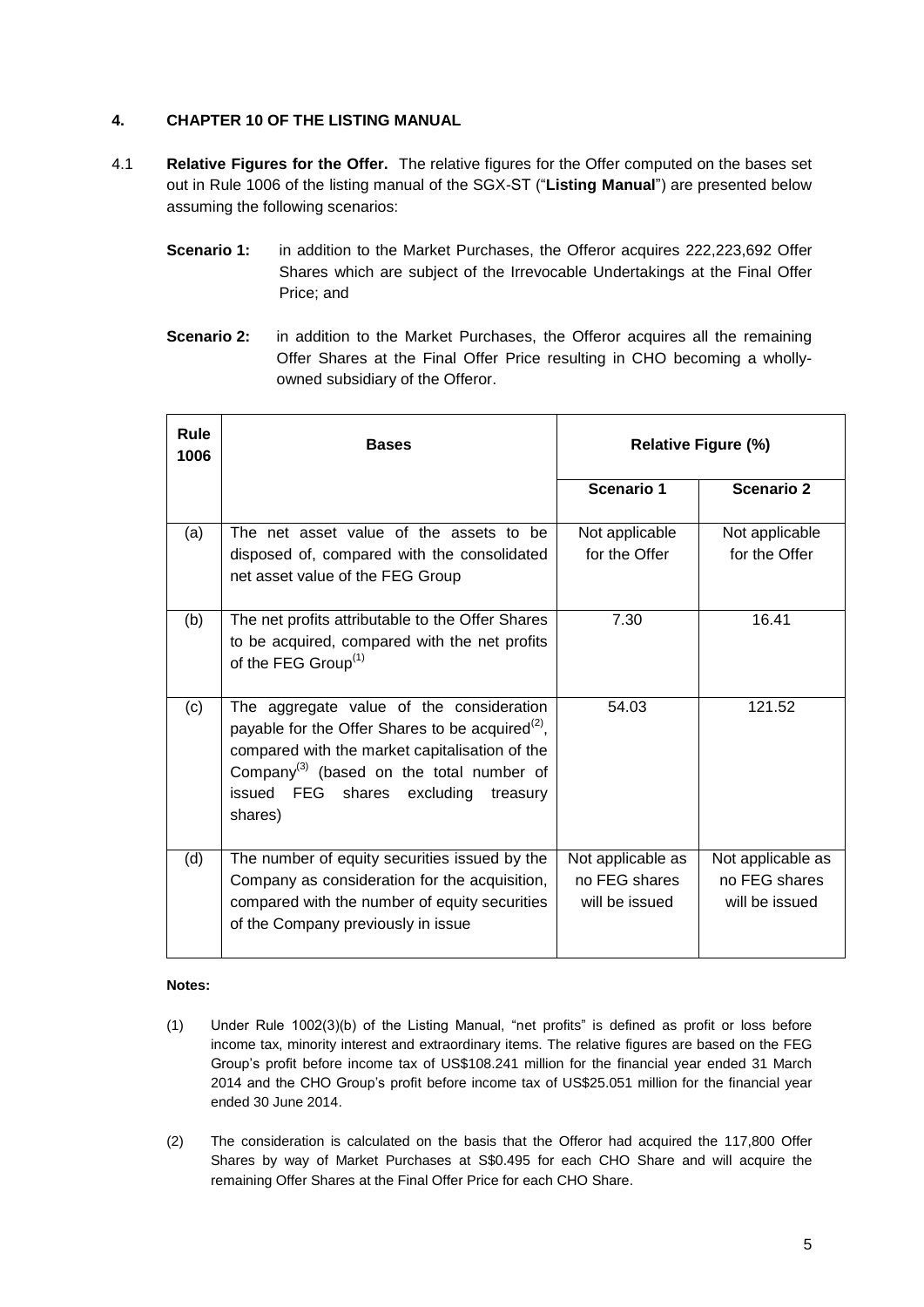# **4. CHAPTER 10 OF THE LISTING MANUAL**

- 4.1 **Relative Figures for the Offer.** The relative figures for the Offer computed on the bases set out in Rule 1006 of the listing manual of the SGX-ST ("**Listing Manual**") are presented below assuming the following scenarios:
	- **Scenario 1:** in addition to the Market Purchases, the Offeror acquires 222,223,692 Offer Shares which are subject of the Irrevocable Undertakings at the Final Offer Price; and
	- **Scenario 2:** in addition to the Market Purchases, the Offeror acquires all the remaining Offer Shares at the Final Offer Price resulting in CHO becoming a whollyowned subsidiary of the Offeror.

| <b>Rule</b><br>1006 | <b>Bases</b>                                                                                                                                                                                                                                                             | <b>Relative Figure (%)</b>                           |                                                      |
|---------------------|--------------------------------------------------------------------------------------------------------------------------------------------------------------------------------------------------------------------------------------------------------------------------|------------------------------------------------------|------------------------------------------------------|
|                     |                                                                                                                                                                                                                                                                          | Scenario 1                                           | <b>Scenario 2</b>                                    |
| (a)                 | The net asset value of the assets to be<br>disposed of, compared with the consolidated<br>net asset value of the FEG Group                                                                                                                                               | Not applicable<br>for the Offer                      | Not applicable<br>for the Offer                      |
| (b)                 | The net profits attributable to the Offer Shares<br>to be acquired, compared with the net profits<br>of the FEG Group <sup>(1)</sup>                                                                                                                                     | 7.30                                                 | 16.41                                                |
| (c)                 | The aggregate value of the consideration<br>payable for the Offer Shares to be acquired <sup>(2)</sup> ,<br>compared with the market capitalisation of the<br>Company <sup>(3)</sup> (based on the total number of<br>issued FEG shares excluding<br>treasury<br>shares) | 54.03                                                | 121.52                                               |
| (d)                 | The number of equity securities issued by the<br>Company as consideration for the acquisition,<br>compared with the number of equity securities<br>of the Company previously in issue                                                                                    | Not applicable as<br>no FEG shares<br>will be issued | Not applicable as<br>no FEG shares<br>will be issued |

#### **Notes:**

- (1) Under Rule 1002(3)(b) of the Listing Manual, "net profits" is defined as profit or loss before income tax, minority interest and extraordinary items. The relative figures are based on the FEG Group's profit before income tax of US\$108.241 million for the financial year ended 31 March 2014 and the CHO Group's profit before income tax of US\$25.051 million for the financial year ended 30 June 2014.
- (2) The consideration is calculated on the basis that the Offeror had acquired the 117,800 Offer Shares by way of Market Purchases at S\$0.495 for each CHO Share and will acquire the remaining Offer Shares at the Final Offer Price for each CHO Share.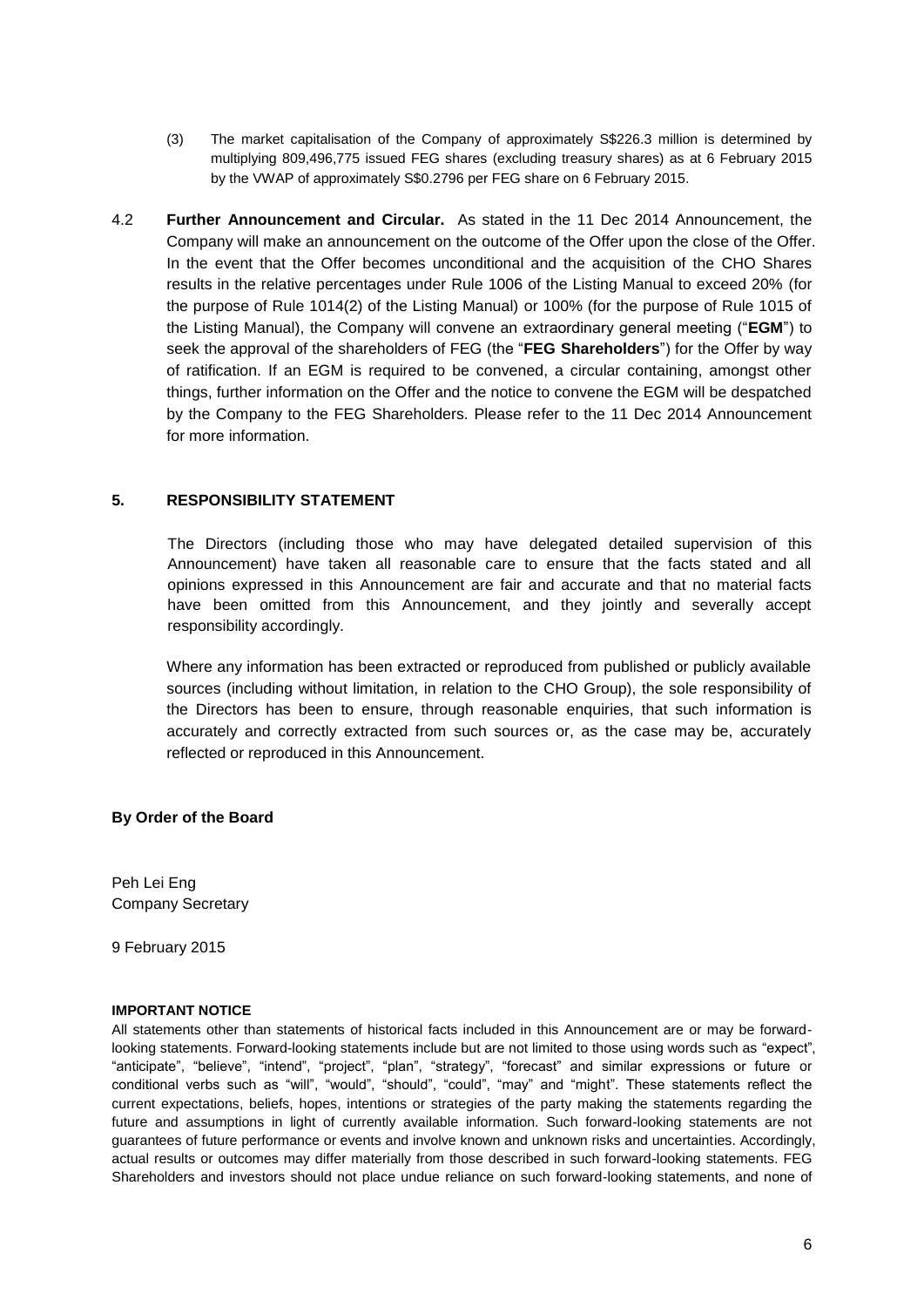- (3) The market capitalisation of the Company of approximately S\$226.3 million is determined by multiplying 809,496,775 issued FEG shares (excluding treasury shares) as at 6 February 2015 by the VWAP of approximately S\$0.2796 per FEG share on 6 February 2015.
- 4.2 **Further Announcement and Circular.** As stated in the 11 Dec 2014 Announcement, the Company will make an announcement on the outcome of the Offer upon the close of the Offer. In the event that the Offer becomes unconditional and the acquisition of the CHO Shares results in the relative percentages under Rule 1006 of the Listing Manual to exceed 20% (for the purpose of Rule 1014(2) of the Listing Manual) or 100% (for the purpose of Rule 1015 of the Listing Manual), the Company will convene an extraordinary general meeting ("**EGM**") to seek the approval of the shareholders of FEG (the "**FEG Shareholders**") for the Offer by way of ratification. If an EGM is required to be convened, a circular containing, amongst other things, further information on the Offer and the notice to convene the EGM will be despatched by the Company to the FEG Shareholders. Please refer to the 11 Dec 2014 Announcement for more information.

## **5. RESPONSIBILITY STATEMENT**

The Directors (including those who may have delegated detailed supervision of this Announcement) have taken all reasonable care to ensure that the facts stated and all opinions expressed in this Announcement are fair and accurate and that no material facts have been omitted from this Announcement, and they jointly and severally accept responsibility accordingly.

Where any information has been extracted or reproduced from published or publicly available sources (including without limitation, in relation to the CHO Group), the sole responsibility of the Directors has been to ensure, through reasonable enquiries, that such information is accurately and correctly extracted from such sources or, as the case may be, accurately reflected or reproduced in this Announcement.

#### **By Order of the Board**

Peh Lei Eng Company Secretary

9 February 2015

#### **IMPORTANT NOTICE**

All statements other than statements of historical facts included in this Announcement are or may be forwardlooking statements. Forward-looking statements include but are not limited to those using words such as "expect", "anticipate", "believe", "intend", "project", "plan", "strategy", "forecast" and similar expressions or future or conditional verbs such as "will", "would", "should", "could", "may" and "might". These statements reflect the current expectations, beliefs, hopes, intentions or strategies of the party making the statements regarding the future and assumptions in light of currently available information. Such forward-looking statements are not guarantees of future performance or events and involve known and unknown risks and uncertainties. Accordingly, actual results or outcomes may differ materially from those described in such forward-looking statements. FEG Shareholders and investors should not place undue reliance on such forward-looking statements, and none of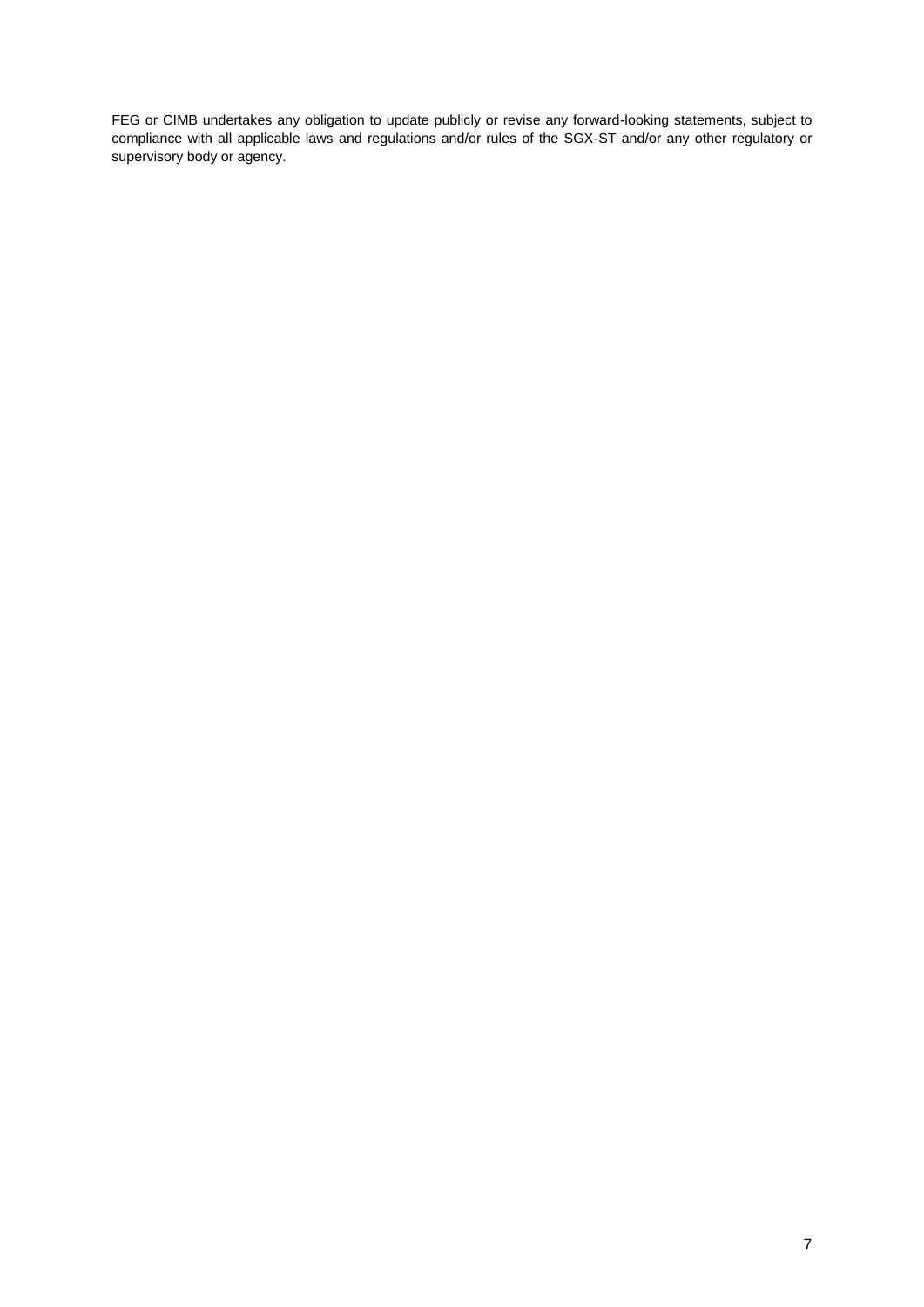FEG or CIMB undertakes any obligation to update publicly or revise any forward-looking statements, subject to compliance with all applicable laws and regulations and/or rules of the SGX-ST and/or any other regulatory or supervisory body or agency.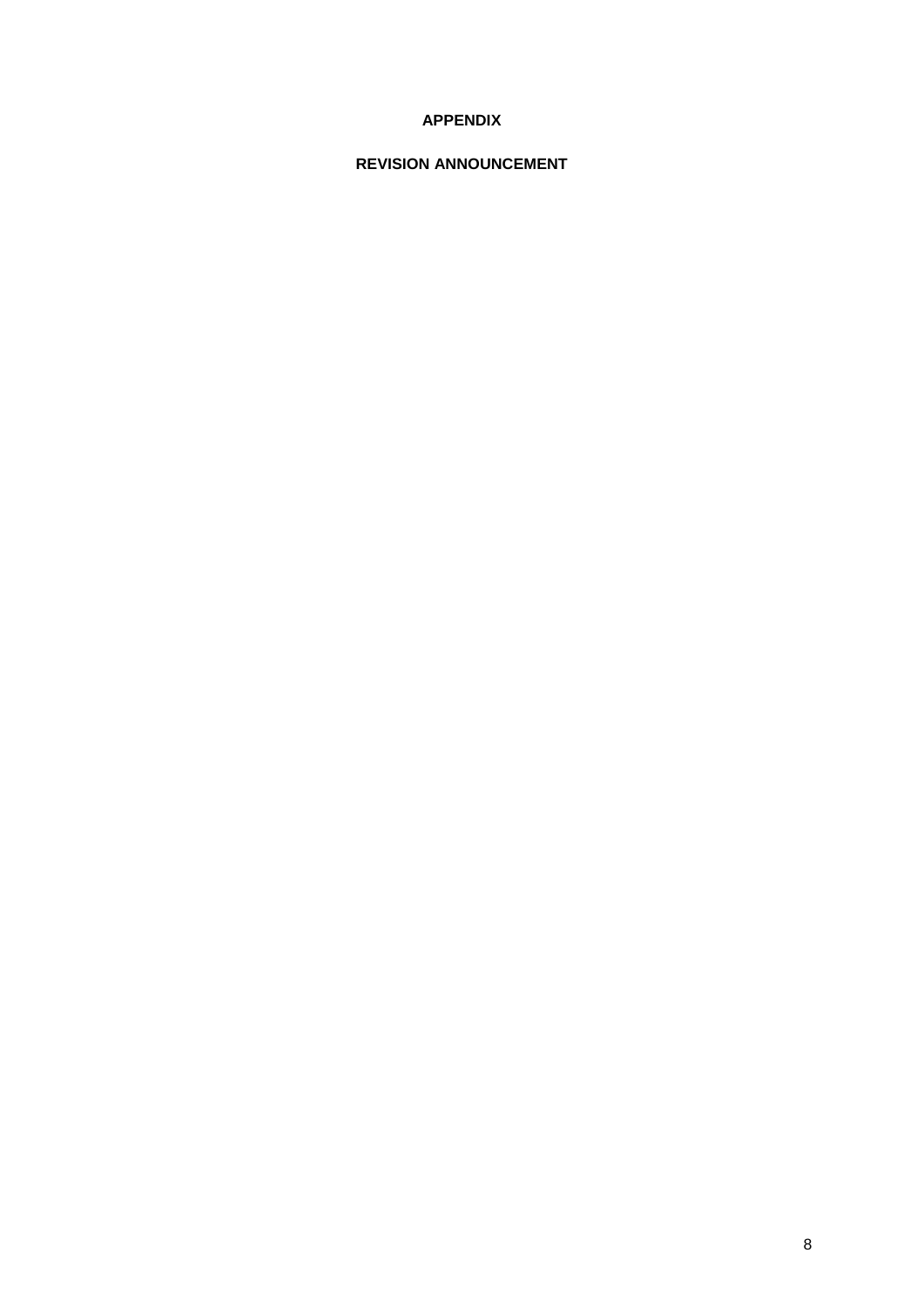# **APPENDIX**

# **REVISION ANNOUNCEMENT**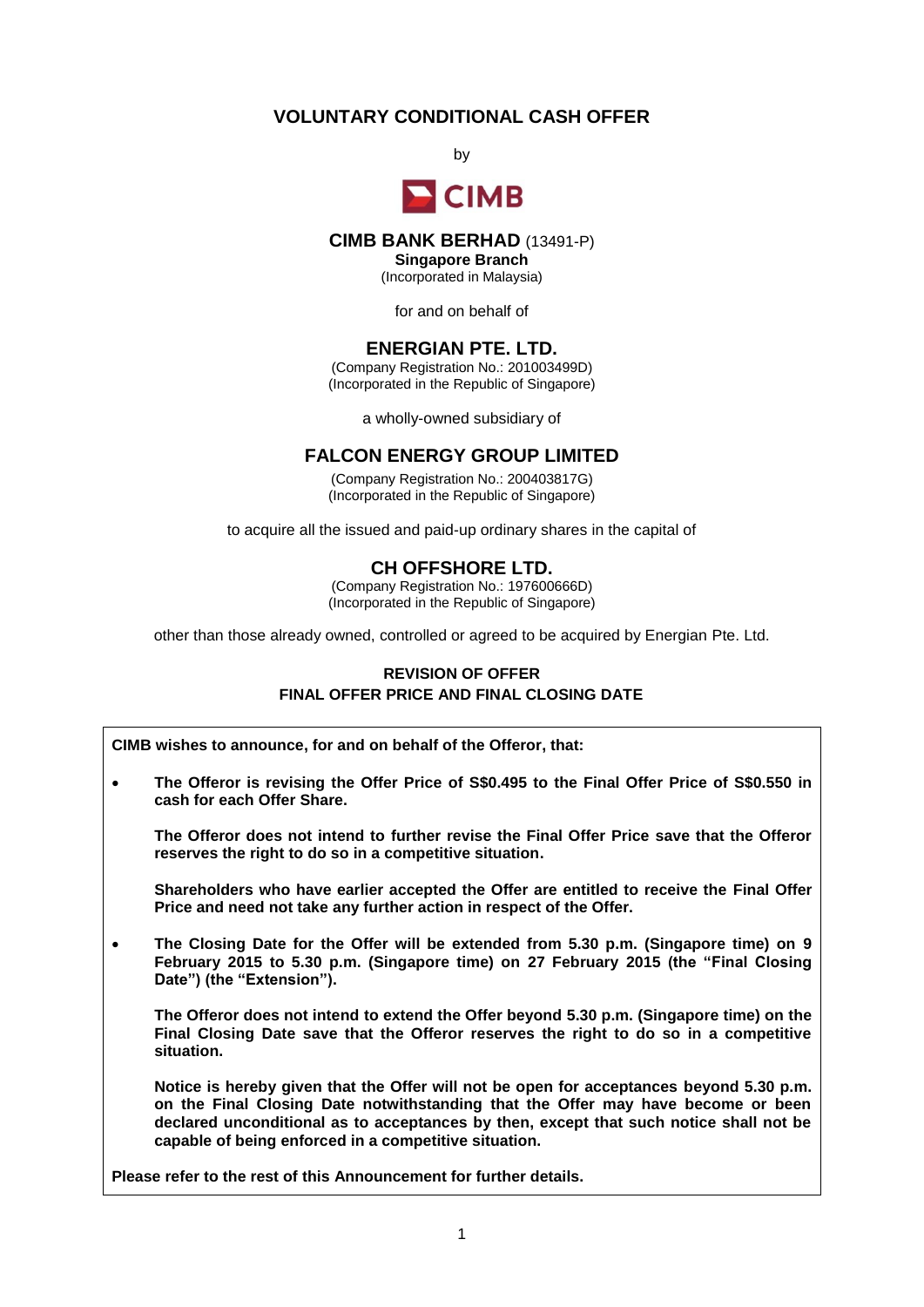# **VOLUNTARY CONDITIONAL CASH OFFER**

by



# **CIMB BANK BERHAD** (13491-P)

**Singapore Branch**

(Incorporated in Malaysia)

for and on behalf of

# **ENERGIAN PTE. LTD.**

(Company Registration No.: 201003499D) (Incorporated in the Republic of Singapore)

a wholly-owned subsidiary of

## **FALCON ENERGY GROUP LIMITED**

(Company Registration No.: 200403817G) (Incorporated in the Republic of Singapore)

to acquire all the issued and paid-up ordinary shares in the capital of

# **CH OFFSHORE LTD.**

(Company Registration No.: 197600666D) (Incorporated in the Republic of Singapore)

other than those already owned, controlled or agreed to be acquired by Energian Pte. Ltd.

## **REVISION OF OFFER FINAL OFFER PRICE AND FINAL CLOSING DATE**

**CIMB wishes to announce, for and on behalf of the Offeror, that:** 

 **The Offeror is revising the Offer Price of S\$0.495 to the Final Offer Price of S\$0.550 in cash for each Offer Share.** 

**The Offeror does not intend to further revise the Final Offer Price save that the Offeror reserves the right to do so in a competitive situation.**

**Shareholders who have earlier accepted the Offer are entitled to receive the Final Offer Price and need not take any further action in respect of the Offer.**

 **The Closing Date for the Offer will be extended from 5.30 p.m. (Singapore time) on 9 February 2015 to 5.30 p.m. (Singapore time) on 27 February 2015 (the "Final Closing Date") (the "Extension").**

**The Offeror does not intend to extend the Offer beyond 5.30 p.m. (Singapore time) on the Final Closing Date save that the Offeror reserves the right to do so in a competitive situation.**

**Notice is hereby given that the Offer will not be open for acceptances beyond 5.30 p.m. on the Final Closing Date notwithstanding that the Offer may have become or been declared unconditional as to acceptances by then, except that such notice shall not be capable of being enforced in a competitive situation.**

**Please refer to the rest of this Announcement for further details.**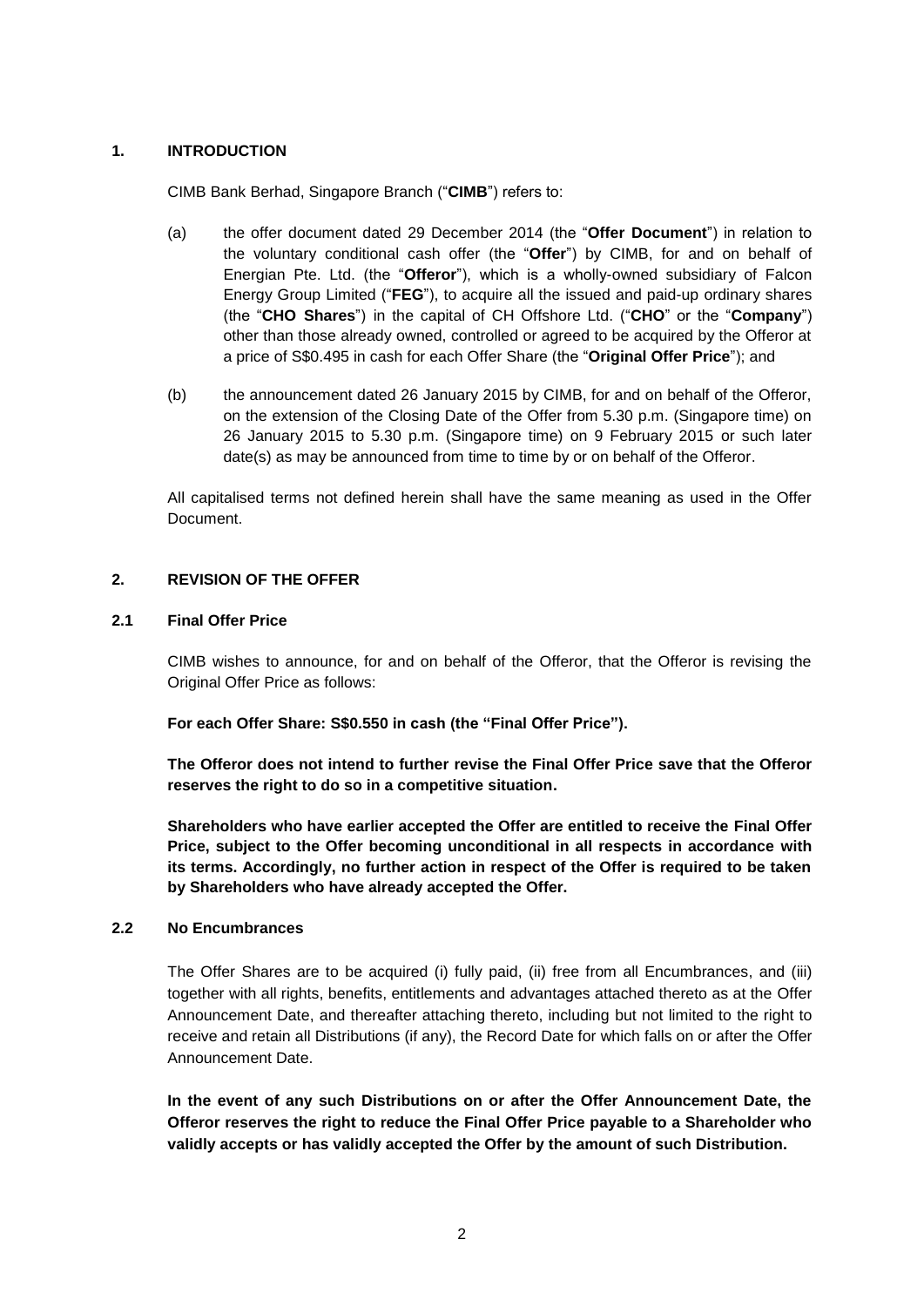## **1. INTRODUCTION**

CIMB Bank Berhad, Singapore Branch ("**CIMB**") refers to:

- (a) the offer document dated 29 December 2014 (the "**Offer Document**") in relation to the voluntary conditional cash offer (the "**Offer**") by CIMB, for and on behalf of Energian Pte. Ltd. (the "**Offeror**"), which is a wholly-owned subsidiary of Falcon Energy Group Limited ("**FEG**"), to acquire all the issued and paid-up ordinary shares (the "**CHO Shares**") in the capital of CH Offshore Ltd. ("**CHO**" or the "**Company**") other than those already owned, controlled or agreed to be acquired by the Offeror at a price of S\$0.495 in cash for each Offer Share (the "**Original Offer Price**"); and
- (b) the announcement dated 26 January 2015 by CIMB, for and on behalf of the Offeror, on the extension of the Closing Date of the Offer from 5.30 p.m. (Singapore time) on 26 January 2015 to 5.30 p.m. (Singapore time) on 9 February 2015 or such later date(s) as may be announced from time to time by or on behalf of the Offeror.

All capitalised terms not defined herein shall have the same meaning as used in the Offer Document.

## **2. REVISION OF THE OFFER**

#### **2.1 Final Offer Price**

CIMB wishes to announce, for and on behalf of the Offeror, that the Offeror is revising the Original Offer Price as follows:

**For each Offer Share: S\$0.550 in cash (the "Final Offer Price").**

**The Offeror does not intend to further revise the Final Offer Price save that the Offeror reserves the right to do so in a competitive situation.**

**Shareholders who have earlier accepted the Offer are entitled to receive the Final Offer Price, subject to the Offer becoming unconditional in all respects in accordance with its terms. Accordingly, no further action in respect of the Offer is required to be taken by Shareholders who have already accepted the Offer.**

#### **2.2 No Encumbrances**

The Offer Shares are to be acquired (i) fully paid, (ii) free from all Encumbrances, and (iii) together with all rights, benefits, entitlements and advantages attached thereto as at the Offer Announcement Date, and thereafter attaching thereto, including but not limited to the right to receive and retain all Distributions (if any), the Record Date for which falls on or after the Offer Announcement Date.

**In the event of any such Distributions on or after the Offer Announcement Date, the Offeror reserves the right to reduce the Final Offer Price payable to a Shareholder who validly accepts or has validly accepted the Offer by the amount of such Distribution.**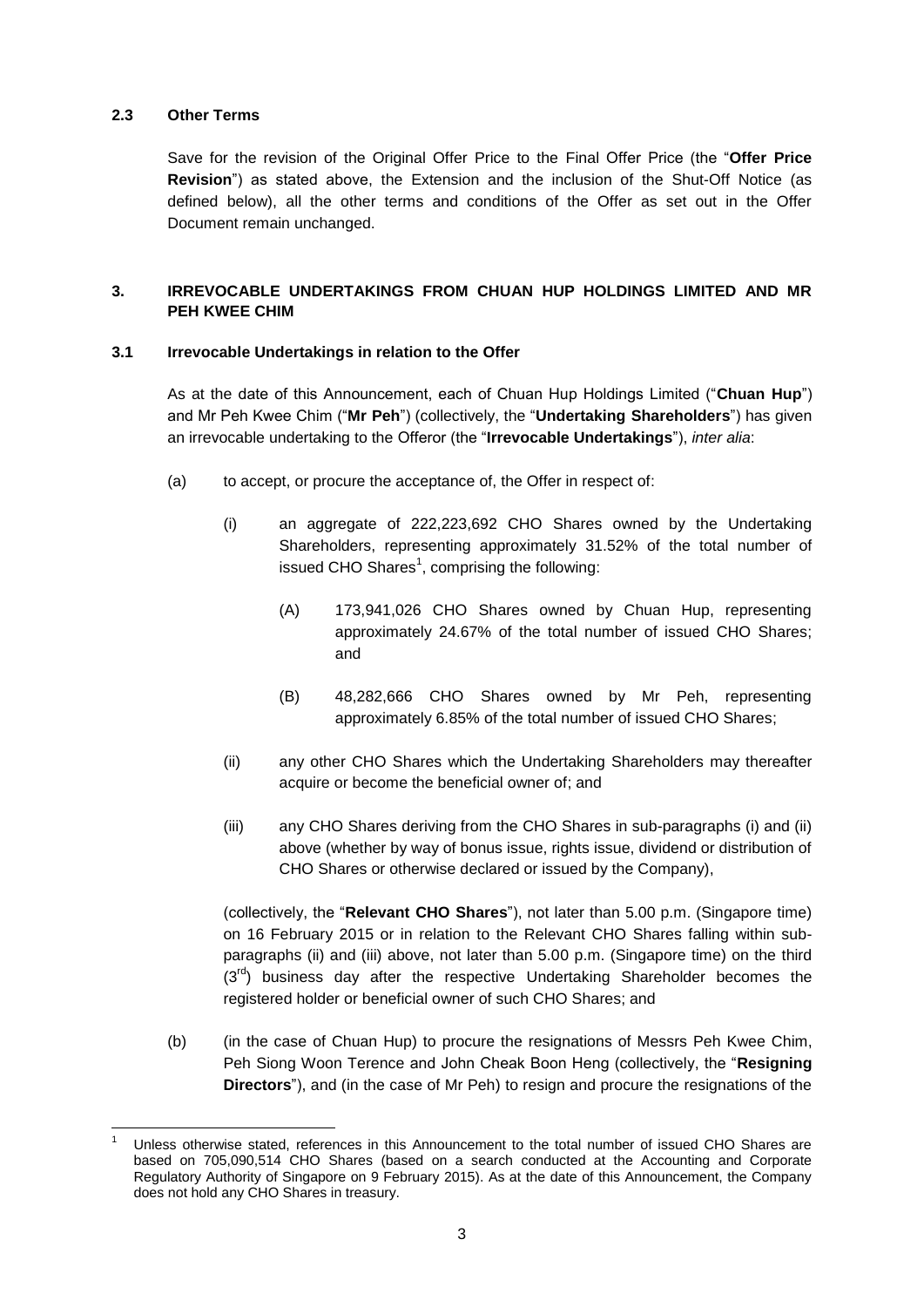## **2.3 Other Terms**

Save for the revision of the Original Offer Price to the Final Offer Price (the "**Offer Price Revision**") as stated above, the Extension and the inclusion of the Shut-Off Notice (as defined below), all the other terms and conditions of the Offer as set out in the Offer Document remain unchanged.

# **3. IRREVOCABLE UNDERTAKINGS FROM CHUAN HUP HOLDINGS LIMITED AND MR PEH KWEE CHIM**

## **3.1 Irrevocable Undertakings in relation to the Offer**

As at the date of this Announcement, each of Chuan Hup Holdings Limited ("**Chuan Hup**") and Mr Peh Kwee Chim ("**Mr Peh**") (collectively, the "**Undertaking Shareholders**") has given an irrevocable undertaking to the Offeror (the "**Irrevocable Undertakings**"), *inter alia*:

- (a) to accept, or procure the acceptance of, the Offer in respect of:
	- (i) an aggregate of 222,223,692 CHO Shares owned by the Undertaking Shareholders, representing approximately 31.52% of the total number of issued CHO Shares $^1$ , comprising the following:
		- (A) 173,941,026 CHO Shares owned by Chuan Hup, representing approximately 24.67% of the total number of issued CHO Shares; and
		- (B) 48,282,666 CHO Shares owned by Mr Peh, representing approximately 6.85% of the total number of issued CHO Shares;
	- (ii) any other CHO Shares which the Undertaking Shareholders may thereafter acquire or become the beneficial owner of; and
	- (iii) any CHO Shares deriving from the CHO Shares in sub-paragraphs (i) and (ii) above (whether by way of bonus issue, rights issue, dividend or distribution of CHO Shares or otherwise declared or issued by the Company),

(collectively, the "**Relevant CHO Shares**"), not later than 5.00 p.m. (Singapore time) on 16 February 2015 or in relation to the Relevant CHO Shares falling within subparagraphs (ii) and (iii) above, not later than 5.00 p.m. (Singapore time) on the third  $(3<sup>rd</sup>)$  business day after the respective Undertaking Shareholder becomes the registered holder or beneficial owner of such CHO Shares; and

(b) (in the case of Chuan Hup) to procure the resignations of Messrs Peh Kwee Chim, Peh Siong Woon Terence and John Cheak Boon Heng (collectively, the "**Resigning Directors**"), and (in the case of Mr Peh) to resign and procure the resignations of the

<sup>1</sup> Unless otherwise stated, references in this Announcement to the total number of issued CHO Shares are based on 705,090,514 CHO Shares (based on a search conducted at the Accounting and Corporate Regulatory Authority of Singapore on 9 February 2015). As at the date of this Announcement, the Company does not hold any CHO Shares in treasury.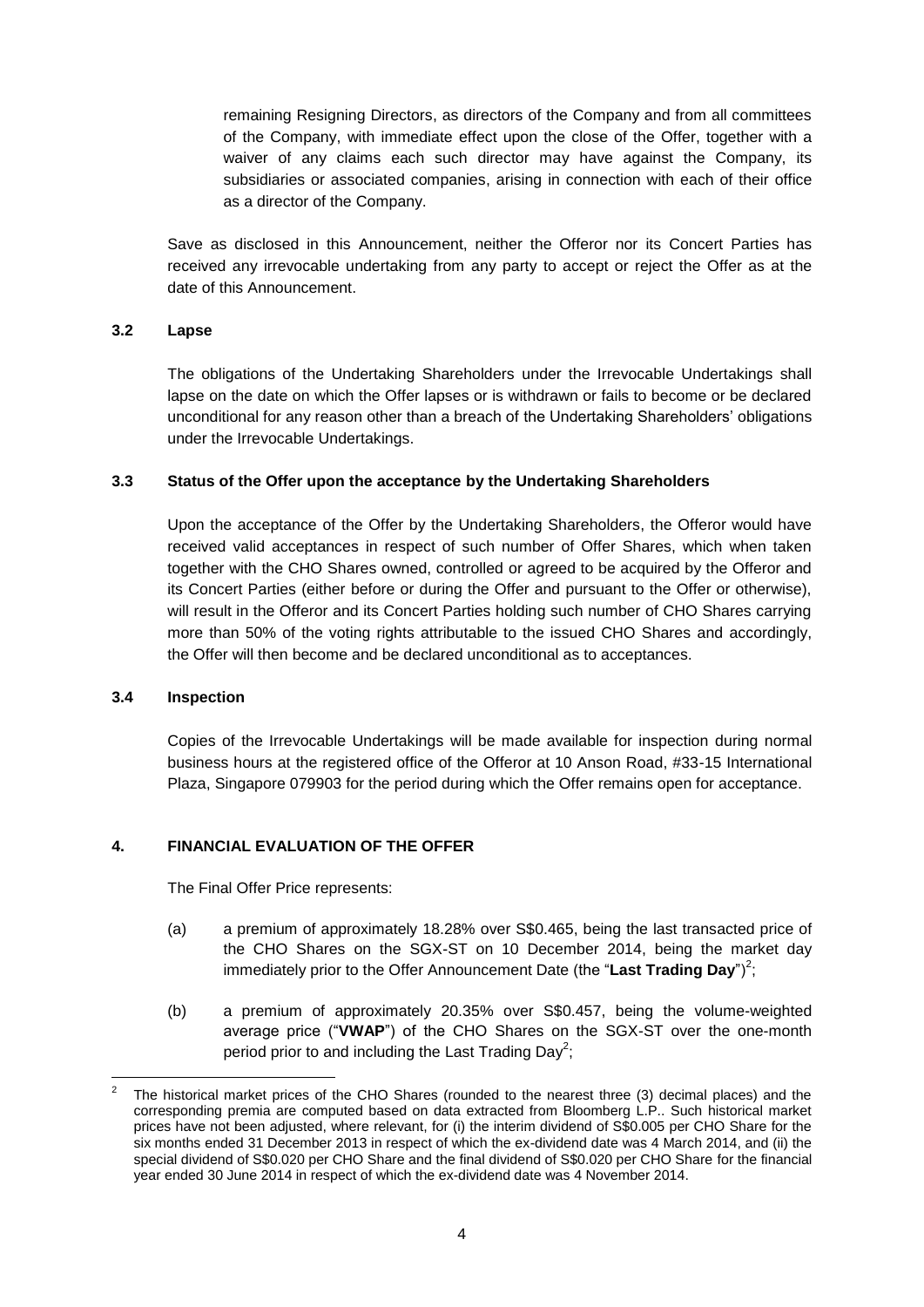remaining Resigning Directors, as directors of the Company and from all committees of the Company, with immediate effect upon the close of the Offer, together with a waiver of any claims each such director may have against the Company, its subsidiaries or associated companies, arising in connection with each of their office as a director of the Company.

Save as disclosed in this Announcement, neither the Offeror nor its Concert Parties has received any irrevocable undertaking from any party to accept or reject the Offer as at the date of this Announcement.

## **3.2 Lapse**

The obligations of the Undertaking Shareholders under the Irrevocable Undertakings shall lapse on the date on which the Offer lapses or is withdrawn or fails to become or be declared unconditional for any reason other than a breach of the Undertaking Shareholders' obligations under the Irrevocable Undertakings.

#### **3.3 Status of the Offer upon the acceptance by the Undertaking Shareholders**

Upon the acceptance of the Offer by the Undertaking Shareholders, the Offeror would have received valid acceptances in respect of such number of Offer Shares, which when taken together with the CHO Shares owned, controlled or agreed to be acquired by the Offeror and its Concert Parties (either before or during the Offer and pursuant to the Offer or otherwise), will result in the Offeror and its Concert Parties holding such number of CHO Shares carrying more than 50% of the voting rights attributable to the issued CHO Shares and accordingly, the Offer will then become and be declared unconditional as to acceptances.

#### **3.4 Inspection**

1

Copies of the Irrevocable Undertakings will be made available for inspection during normal business hours at the registered office of the Offeror at 10 Anson Road, #33-15 International Plaza, Singapore 079903 for the period during which the Offer remains open for acceptance.

## **4. FINANCIAL EVALUATION OF THE OFFER**

The Final Offer Price represents:

- (a) a premium of approximately 18.28% over S\$0.465, being the last transacted price of the CHO Shares on the SGX-ST on 10 December 2014, being the market day immediately prior to the Offer Announcement Date (the "Last Trading Day")<sup>2</sup>;
- (b) a premium of approximately 20.35% over S\$0.457, being the volume-weighted average price ("**VWAP**") of the CHO Shares on the SGX-ST over the one-month period prior to and including the Last Trading Day<sup>2</sup>;

<sup>2</sup> The historical market prices of the CHO Shares (rounded to the nearest three (3) decimal places) and the corresponding premia are computed based on data extracted from Bloomberg L.P.. Such historical market prices have not been adjusted, where relevant, for (i) the interim dividend of S\$0.005 per CHO Share for the six months ended 31 December 2013 in respect of which the ex-dividend date was 4 March 2014, and (ii) the special dividend of S\$0.020 per CHO Share and the final dividend of S\$0.020 per CHO Share for the financial year ended 30 June 2014 in respect of which the ex-dividend date was 4 November 2014.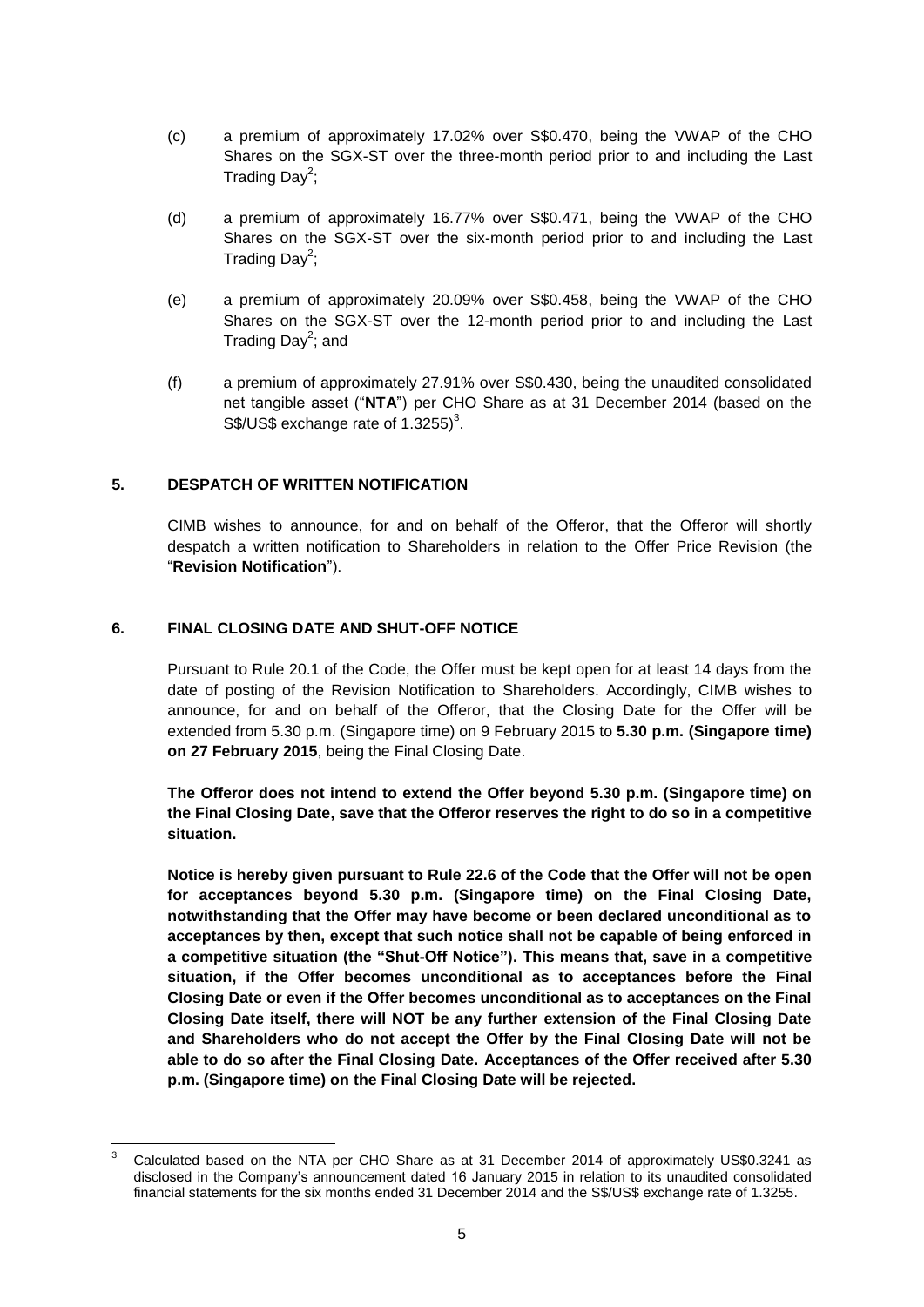- (c) a premium of approximately 17.02% over S\$0.470, being the VWAP of the CHO Shares on the SGX-ST over the three-month period prior to and including the Last Trading Day<sup>2</sup>;
- (d) a premium of approximately 16.77% over S\$0.471, being the VWAP of the CHO Shares on the SGX-ST over the six-month period prior to and including the Last Trading Day<sup>2</sup>;
- (e) a premium of approximately 20.09% over S\$0.458, being the VWAP of the CHO Shares on the SGX-ST over the 12-month period prior to and including the Last Trading Day<sup>2</sup>; and
- (f) a premium of approximately 27.91% over S\$0.430, being the unaudited consolidated net tangible asset ("**NTA**") per CHO Share as at 31 December 2014 (based on the  $S\$ /US\$ exchange rate of 1.3255)<sup>3</sup>.

## **5. DESPATCH OF WRITTEN NOTIFICATION**

CIMB wishes to announce, for and on behalf of the Offeror, that the Offeror will shortly despatch a written notification to Shareholders in relation to the Offer Price Revision (the "**Revision Notification**").

## **6. FINAL CLOSING DATE AND SHUT-OFF NOTICE**

Pursuant to Rule 20.1 of the Code, the Offer must be kept open for at least 14 days from the date of posting of the Revision Notification to Shareholders. Accordingly, CIMB wishes to announce, for and on behalf of the Offeror, that the Closing Date for the Offer will be extended from 5.30 p.m. (Singapore time) on 9 February 2015 to **5.30 p.m. (Singapore time) on 27 February 2015**, being the Final Closing Date.

**The Offeror does not intend to extend the Offer beyond 5.30 p.m. (Singapore time) on the Final Closing Date, save that the Offeror reserves the right to do so in a competitive situation.**

**Notice is hereby given pursuant to Rule 22.6 of the Code that the Offer will not be open for acceptances beyond 5.30 p.m. (Singapore time) on the Final Closing Date, notwithstanding that the Offer may have become or been declared unconditional as to acceptances by then, except that such notice shall not be capable of being enforced in a competitive situation (the "Shut-Off Notice"). This means that, save in a competitive situation, if the Offer becomes unconditional as to acceptances before the Final Closing Date or even if the Offer becomes unconditional as to acceptances on the Final Closing Date itself, there will NOT be any further extension of the Final Closing Date and Shareholders who do not accept the Offer by the Final Closing Date will not be able to do so after the Final Closing Date. Acceptances of the Offer received after 5.30 p.m. (Singapore time) on the Final Closing Date will be rejected.**

<sup>3</sup> <sup>3</sup> Calculated based on the NTA per CHO Share as at 31 December 2014 of approximately US\$0.3241 as disclosed in the Company's announcement dated 16 January 2015 in relation to its unaudited consolidated financial statements for the six months ended 31 December 2014 and the S\$/US\$ exchange rate of 1.3255.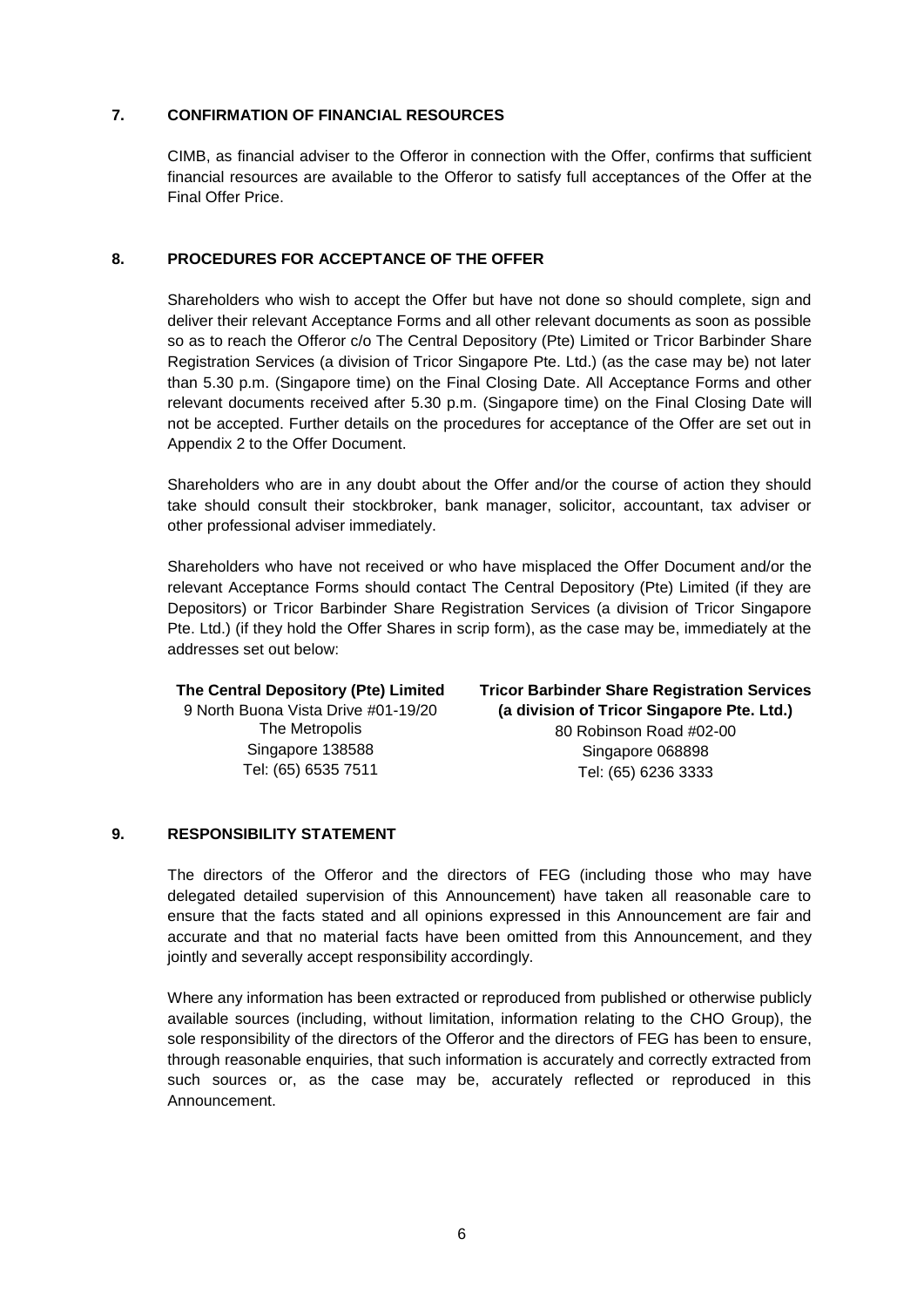#### **7. CONFIRMATION OF FINANCIAL RESOURCES**

CIMB, as financial adviser to the Offeror in connection with the Offer, confirms that sufficient financial resources are available to the Offeror to satisfy full acceptances of the Offer at the Final Offer Price.

#### **8. PROCEDURES FOR ACCEPTANCE OF THE OFFER**

Shareholders who wish to accept the Offer but have not done so should complete, sign and deliver their relevant Acceptance Forms and all other relevant documents as soon as possible so as to reach the Offeror c/o The Central Depository (Pte) Limited or Tricor Barbinder Share Registration Services (a division of Tricor Singapore Pte. Ltd.) (as the case may be) not later than 5.30 p.m. (Singapore time) on the Final Closing Date. All Acceptance Forms and other relevant documents received after 5.30 p.m. (Singapore time) on the Final Closing Date will not be accepted. Further details on the procedures for acceptance of the Offer are set out in Appendix 2 to the Offer Document.

Shareholders who are in any doubt about the Offer and/or the course of action they should take should consult their stockbroker, bank manager, solicitor, accountant, tax adviser or other professional adviser immediately.

Shareholders who have not received or who have misplaced the Offer Document and/or the relevant Acceptance Forms should contact The Central Depository (Pte) Limited (if they are Depositors) or Tricor Barbinder Share Registration Services (a division of Tricor Singapore Pte. Ltd.) (if they hold the Offer Shares in scrip form), as the case may be, immediately at the addresses set out below:

## **The Central Depository (Pte) Limited** 9 North Buona Vista Drive #01-19/20 The Metropolis Singapore 138588 Tel: (65) 6535 7511

**Tricor Barbinder Share Registration Services (a division of Tricor Singapore Pte. Ltd.)** 80 Robinson Road #02-00 Singapore 068898 Tel: (65) 6236 3333

## **9. RESPONSIBILITY STATEMENT**

The directors of the Offeror and the directors of FEG (including those who may have delegated detailed supervision of this Announcement) have taken all reasonable care to ensure that the facts stated and all opinions expressed in this Announcement are fair and accurate and that no material facts have been omitted from this Announcement, and they jointly and severally accept responsibility accordingly.

Where any information has been extracted or reproduced from published or otherwise publicly available sources (including, without limitation, information relating to the CHO Group), the sole responsibility of the directors of the Offeror and the directors of FEG has been to ensure, through reasonable enquiries, that such information is accurately and correctly extracted from such sources or, as the case may be, accurately reflected or reproduced in this Announcement.